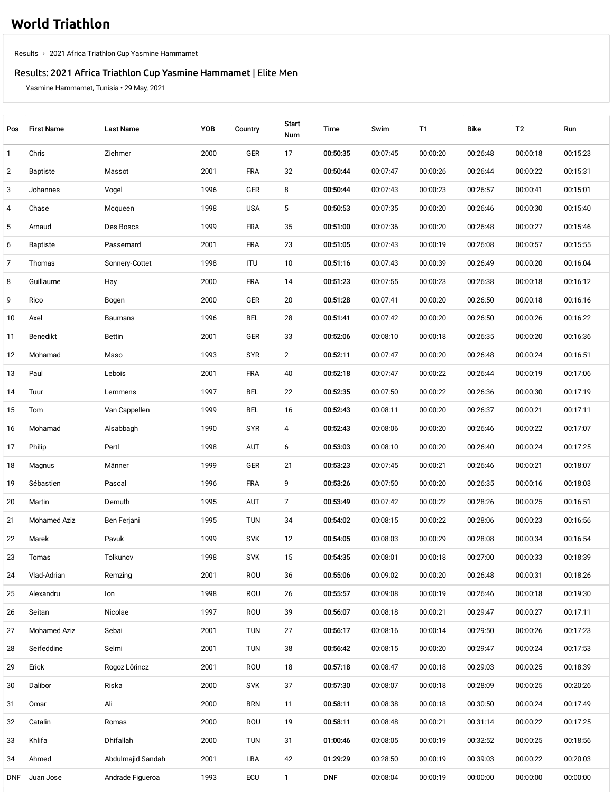## **World [Triathlon](https://www.triathlon.org/)**

[Results](https://www.triathlon.org/results/) › 2021 Africa Triathlon Cup Yasmine [Hammamet](https://www.triathlon.org/results/result/2021_africa_triathlon_cup_yasmine_hammamet)

## Results: 2021 Africa Triathlon Cup Yasmine [Hammamet](https://www.triathlon.org/events/event/2021_africa_triathlon_cup_yasmine_hammamet) | Elite Men

Yasmine Hammamet, Tunisia • 29 May, 2021

| Pos | <b>First Name</b> | <b>Last Name</b>  | YOB  | Country    | <b>Start</b><br>Num | Time       | Swim     | T1       | Bike     | T2       | Run      |
|-----|-------------------|-------------------|------|------------|---------------------|------------|----------|----------|----------|----------|----------|
| 1   | Chris             | Ziehmer           | 2000 | GER        | 17                  | 00:50:35   | 00:07:45 | 00:00:20 | 00:26:48 | 00:00:18 | 00:15:23 |
| 2   | Baptiste          | Massot            | 2001 | <b>FRA</b> | 32                  | 00:50:44   | 00:07:47 | 00:00:26 | 00:26:44 | 00:00:22 | 00:15:31 |
| 3   | Johannes          | Vogel             | 1996 | GER        | 8                   | 00:50:44   | 00:07:43 | 00:00:23 | 00:26:57 | 00:00:41 | 00:15:01 |
| 4   | Chase             | Mcqueen           | 1998 | <b>USA</b> | 5                   | 00:50:53   | 00:07:35 | 00:00:20 | 00:26:46 | 00:00:30 | 00:15:40 |
| 5   | Arnaud            | Des Boscs         | 1999 | <b>FRA</b> | 35                  | 00:51:00   | 00:07:36 | 00:00:20 | 00:26:48 | 00:00:27 | 00:15:46 |
| 6   | Baptiste          | Passemard         | 2001 | <b>FRA</b> | 23                  | 00:51:05   | 00:07:43 | 00:00:19 | 00:26:08 | 00:00:57 | 00:15:55 |
| 7   | Thomas            | Sonnery-Cottet    | 1998 | ITU        | 10                  | 00:51:16   | 00:07:43 | 00:00:39 | 00:26:49 | 00:00:20 | 00:16:04 |
| 8   | Guillaume         | Hay               | 2000 | <b>FRA</b> | 14                  | 00:51:23   | 00:07:55 | 00:00:23 | 00:26:38 | 00:00:18 | 00:16:12 |
| 9   | Rico              | Bogen             | 2000 | GER        | 20                  | 00:51:28   | 00:07:41 | 00:00:20 | 00:26:50 | 00:00:18 | 00:16:16 |
| 10  | Axel              | Baumans           | 1996 | <b>BEL</b> | 28                  | 00:51:41   | 00:07:42 | 00:00:20 | 00:26:50 | 00:00:26 | 00:16:22 |
| 11  | Benedikt          | <b>Bettin</b>     | 2001 | GER        | 33                  | 00:52:06   | 00:08:10 | 00:00:18 | 00:26:35 | 00:00:20 | 00:16:36 |
| 12  | Mohamad           | Maso              | 1993 | <b>SYR</b> | $\overline{2}$      | 00:52:11   | 00:07:47 | 00:00:20 | 00:26:48 | 00:00:24 | 00:16:51 |
| 13  | Paul              | Lebois            | 2001 | <b>FRA</b> | 40                  | 00:52:18   | 00:07:47 | 00:00:22 | 00:26:44 | 00:00:19 | 00:17:06 |
| 14  | Tuur              | Lemmens           | 1997 | BEL        | 22                  | 00:52:35   | 00:07:50 | 00:00:22 | 00:26:36 | 00:00:30 | 00:17:19 |
| 15  | Tom               | Van Cappellen     | 1999 | <b>BEL</b> | 16                  | 00:52:43   | 00:08:11 | 00:00:20 | 00:26:37 | 00:00:21 | 00:17:11 |
| 16  | Mohamad           | Alsabbagh         | 1990 | <b>SYR</b> | 4                   | 00:52:43   | 00:08:06 | 00:00:20 | 00:26:46 | 00:00:22 | 00:17:07 |
| 17  | Philip            | Pertl             | 1998 | AUT        | 6                   | 00:53:03   | 00:08:10 | 00:00:20 | 00:26:40 | 00:00:24 | 00:17:25 |
| 18  | Magnus            | Männer            | 1999 | GER        | 21                  | 00:53:23   | 00:07:45 | 00:00:21 | 00:26:46 | 00:00:21 | 00:18:07 |
| 19  | Sébastien         | Pascal            | 1996 | <b>FRA</b> | 9                   | 00:53:26   | 00:07:50 | 00:00:20 | 00:26:35 | 00:00:16 | 00:18:03 |
| 20  | Martin            | Demuth            | 1995 | AUT        | $\overline{7}$      | 00:53:49   | 00:07:42 | 00:00:22 | 00:28:26 | 00:00:25 | 00:16:51 |
| 21  | Mohamed Aziz      | Ben Ferjani       | 1995 | <b>TUN</b> | 34                  | 00:54:02   | 00:08:15 | 00:00:22 | 00:28:06 | 00:00:23 | 00:16:56 |
| 22  | Marek             | Pavuk             | 1999 | <b>SVK</b> | 12                  | 00:54:05   | 00:08:03 | 00:00:29 | 00:28:08 | 00:00:34 | 00:16:54 |
| 23  | Tomas             | Tolkunov          | 1998 | <b>SVK</b> | 15                  | 00:54:35   | 00:08:01 | 00:00:18 | 00:27:00 | 00:00:33 | 00:18:39 |
| 24  | Vlad-Adrian       | Remzing           | 2001 | ROU        | 36                  | 00:55:06   | 00:09:02 | 00:00:20 | 00:26:48 | 00:00:31 | 00:18:26 |
| 25  | Alexandru         | Ion               | 1998 | ROU        | 26                  | 00:55:57   | 00:09:08 | 00:00:19 | 00:26:46 | 00:00:18 | 00:19:30 |
| 26  | Seitan            | Nicolae           | 1997 | ROU        | 39                  | 00:56:07   | 00:08:18 | 00:00:21 | 00:29:47 | 00:00:27 | 00:17:11 |
| 27  | Mohamed Aziz      | Sebai             | 2001 | <b>TUN</b> | 27                  | 00:56:17   | 00:08:16 | 00:00:14 | 00:29:50 | 00:00:26 | 00:17:23 |
| 28  | Seifeddine        | Selmi             | 2001 | <b>TUN</b> | 38                  | 00:56:42   | 00:08:15 | 00:00:20 | 00:29:47 | 00:00:24 | 00:17:53 |
| 29  | Erick             | Rogoz Lörincz     | 2001 | ROU        | 18                  | 00:57:18   | 00:08:47 | 00:00:18 | 00:29:03 | 00:00:25 | 00:18:39 |
| 30  | Dalibor           | Riska             | 2000 | <b>SVK</b> | 37                  | 00:57:30   | 00:08:07 | 00:00:18 | 00:28:09 | 00:00:25 | 00:20:26 |
| 31  | Omar              | Ali               | 2000 | <b>BRN</b> | 11                  | 00:58:11   | 00:08:38 | 00:00:18 | 00:30:50 | 00:00:24 | 00:17:49 |
| 32  | Catalin           | Romas             | 2000 | ROU        | 19                  | 00:58:11   | 00:08:48 | 00:00:21 | 00:31:14 | 00:00:22 | 00:17:25 |
| 33  | Khlifa            | Dhifallah         | 2000 | <b>TUN</b> | 31                  | 01:00:46   | 00:08:05 | 00:00:19 | 00:32:52 | 00:00:25 | 00:18:56 |
| 34  | Ahmed             | Abdulmajid Sandah | 2001 | LBA        | 42                  | 01:29:29   | 00:28:50 | 00:00:19 | 00:39:03 | 00:00:22 | 00:20:03 |
| DNF | Juan Jose         | Andrade Figueroa  | 1993 | <b>ECU</b> | $\mathbf{1}$        | <b>DNF</b> | 00:08:04 | 00:00:19 | 00:00:00 | 00:00:00 | 00:00:00 |